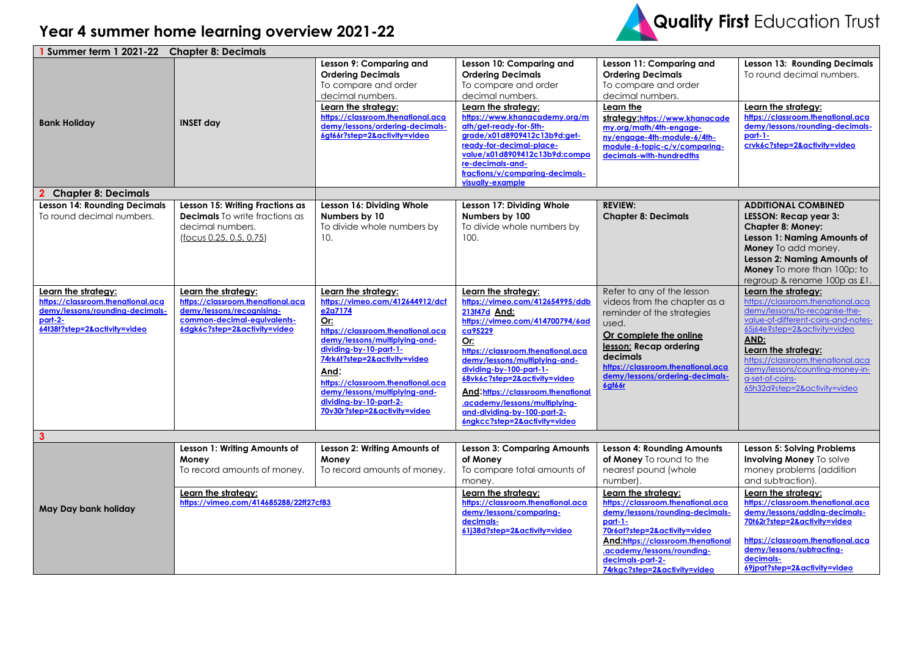## **Year 4 summer home learning overview 2021-22**



| 1 Summer term 1 2021-22 Chapter 8: Decimals                                                                                            |                                                                                                                                                      |                                                                                                                                                                                                                                                                                                                                                  |                                                                                                                                                                                                                                                                                                                                                                                                   |                                                                                                                                                                                                                                                               |                                                                                                                                                                                                                                                                                                                             |  |
|----------------------------------------------------------------------------------------------------------------------------------------|------------------------------------------------------------------------------------------------------------------------------------------------------|--------------------------------------------------------------------------------------------------------------------------------------------------------------------------------------------------------------------------------------------------------------------------------------------------------------------------------------------------|---------------------------------------------------------------------------------------------------------------------------------------------------------------------------------------------------------------------------------------------------------------------------------------------------------------------------------------------------------------------------------------------------|---------------------------------------------------------------------------------------------------------------------------------------------------------------------------------------------------------------------------------------------------------------|-----------------------------------------------------------------------------------------------------------------------------------------------------------------------------------------------------------------------------------------------------------------------------------------------------------------------------|--|
|                                                                                                                                        |                                                                                                                                                      | Lesson 9: Comparing and<br><b>Ordering Decimals</b><br>To compare and order<br>decimal numbers.<br>Learn the strategy:                                                                                                                                                                                                                           | Lesson 10: Comparing and<br><b>Ordering Decimals</b><br>To compare and order<br>decimal numbers.<br>Learn the strategy:                                                                                                                                                                                                                                                                           | Lesson 11: Comparing and<br><b>Ordering Decimals</b><br>To compare and order<br>decimal numbers.<br>Learn the                                                                                                                                                 | <b>Lesson 13: Rounding Decimals</b><br>To round decimal numbers.<br>Learn the strategy:                                                                                                                                                                                                                                     |  |
| <b>Bank Holiday</b>                                                                                                                    | <b>INSET day</b>                                                                                                                                     | https://classroom.thenational.aca<br>demy/lessons/ordering-decimals-<br>6gt66r?step=2&activity=video                                                                                                                                                                                                                                             | https://www.khanacademy.org/m<br>ath/get-ready-for-5th-<br>grade/x01d8909412c13b9d:get-<br>ready-for-decimal-place-<br>value/x01d8909412c13b9d:compa<br>re-decimals-and-<br>fractions/v/comparing-decimals-<br>visually-example                                                                                                                                                                   | strategy:https://www.khanacade<br>my.org/math/4th-engage-<br>ny/engage-4th-module-6/4th-<br>module-6-topic-c/v/comparing-<br>decimals-with-hundredths                                                                                                         | https://classroom.thenational.aca<br>demy/lessons/rounding-decimals-<br>$part-1-$<br>crvk6c?step=2&activity=video                                                                                                                                                                                                           |  |
| <b>Chapter 8: Decimals</b>                                                                                                             |                                                                                                                                                      |                                                                                                                                                                                                                                                                                                                                                  |                                                                                                                                                                                                                                                                                                                                                                                                   |                                                                                                                                                                                                                                                               |                                                                                                                                                                                                                                                                                                                             |  |
| <b>Lesson 14: Rounding Decimals</b><br>To round decimal numbers.                                                                       | Lesson 15: Writing Fractions as<br><b>Decimals</b> To write fractions as<br>decimal numbers.<br>(focus 0.25, 0.5, 0.75)                              | Lesson 16: Dividing Whole<br>Numbers by 10<br>To divide whole numbers by<br>10.                                                                                                                                                                                                                                                                  | Lesson 17: Dividing Whole<br>Numbers by 100<br>To divide whole numbers by<br>100.                                                                                                                                                                                                                                                                                                                 | <b>REVIEW:</b><br><b>Chapter 8: Decimals</b>                                                                                                                                                                                                                  | <b>ADDITIONAL COMBINED</b><br>LESSON: Recap year 3:<br><b>Chapter 8: Money:</b><br>Lesson 1: Naming Amounts of<br>Money To add money.<br>Lesson 2: Naming Amounts of<br>Money To more than 100p; to<br>regroup & rename 100p as £1.                                                                                         |  |
| Learn the strategy:<br>https://classroom.thenational.aca<br>demy/lessons/rounding-decimals-<br>part-2-<br>64t38t?step=2&activity=video | Learn the strategy:<br>https://classroom.thenational.aca<br>demy/lessons/recognising-<br>common-decimal-equivalents-<br>6dgk6c?step=2&activity=video | Learn the strategy:<br>https://vimeo.com/412644912/dcf<br>e2a7174<br>Or:<br>https://classroom.thenational.aca<br>demy/lessons/multiplying-and-<br>dividing-by-10-part-1-<br>74rk6t?step=2&activity=video<br>And:<br>https://classroom.thenational.aca<br>demy/lessons/multiplying-and-<br>dividing-by-10-part-2-<br>70v30r?step=2&activity=video | Learn the strategy:<br>https://vimeo.com/412654995/ddb<br>213f47d And:<br>https://vimeo.com/414700794/6ad<br>ca95229<br>Or:<br>https://classroom.thenational.aca<br>demy/lessons/multiplying-and-<br>dividing-by-100-part-1-<br>68vk6c?step=2&activity=video<br>And:https://classroom.thenational<br>.academy/lessons/multiplying-<br>and-dividing-by-100-part-2-<br>6ngkcc?step=2&activity=video | Refer to any of the lesson<br>videos from the chapter as a<br>reminder of the strategies<br>used.<br>Or complete the online<br>lesson: Recap ordering<br>decimals<br>https://classroom.thenational.aca<br>demy/lessons/ordering-decimals-<br>6gt66r           | Learn the strategy:<br>https://classroom.thenational.aca<br>demy/lessons/to-recognise-the-<br>value-of-different-coins-and-notes-<br>65j64e?step=2&activity=video<br>AND:<br>Learn the strategy:<br>https://classroom.thenational.aca<br>demy/lessons/counting-money-in-<br>a-set-of-coins-<br>65h32d?step=2&activity=video |  |
| $\mathbf{3}$                                                                                                                           |                                                                                                                                                      |                                                                                                                                                                                                                                                                                                                                                  |                                                                                                                                                                                                                                                                                                                                                                                                   |                                                                                                                                                                                                                                                               |                                                                                                                                                                                                                                                                                                                             |  |
|                                                                                                                                        | Lesson 1: Writing Amounts of<br>Money<br>To record amounts of money.                                                                                 | Lesson 2: Writing Amounts of<br>Money<br>To record amounts of money.                                                                                                                                                                                                                                                                             | <b>Lesson 3: Comparing Amounts</b><br>of Money<br>To compare total amounts of<br>money.                                                                                                                                                                                                                                                                                                           | <b>Lesson 4: Rounding Amounts</b><br>of Money To round to the<br>nearest pound (whole<br>number).                                                                                                                                                             | Lesson 5: Solving Problems<br><b>Involving Money To solve</b><br>money problems (addition<br>and subtraction).                                                                                                                                                                                                              |  |
| May Day bank holiday                                                                                                                   | Learn the strategy:<br>https://vimeo.com/414685288/22ff27cf83                                                                                        |                                                                                                                                                                                                                                                                                                                                                  | Learn the strategy:<br>https://classroom.thenational.aca<br>demy/lessons/comparing-<br>decimals-<br>61j38d?step=2&activity=video                                                                                                                                                                                                                                                                  | Learn the strategy:<br>https://classroom.thenational.aca<br>demy/lessons/rounding-decimals-<br>part-1-<br>70r6at?step=2&activity=video<br>And:https://classroom.thenational<br>.academy/lessons/rounding-<br>decimals-part-2-<br>74rkgc?step=2&activity=video | Learn the strategy:<br>https://classroom.thenational.aca<br>demy/lessons/adding-decimals-<br>70t62r?step=2&activity=video<br>https://classroom.thenational.aca<br>demy/lessons/subtracting-<br>decimals-<br>69jpat?step=2&activity=video                                                                                    |  |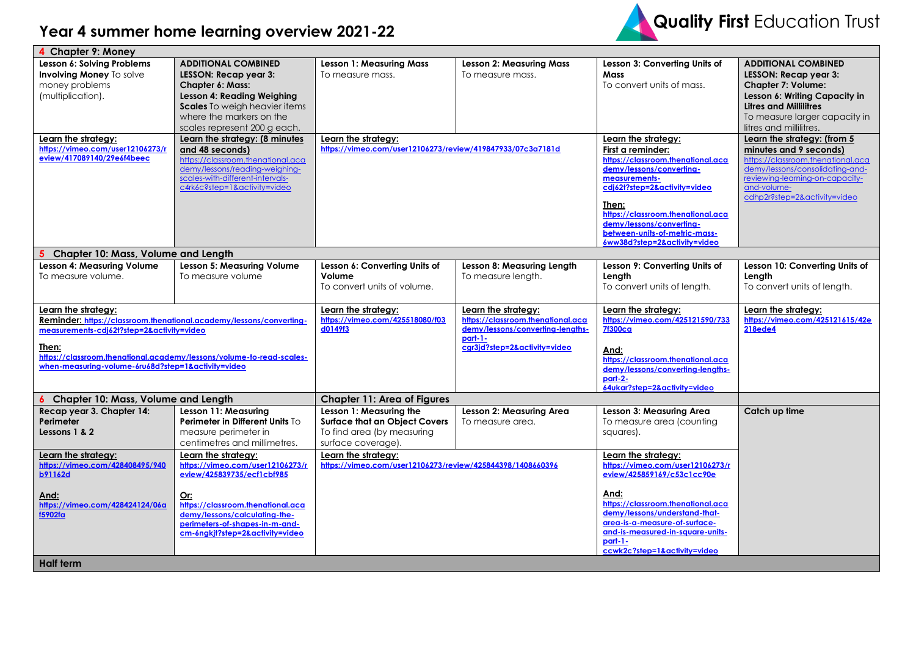## **Year 4 summer home learning overview 2021-22**



| 4 Chapter 9: Money                                                  |                                                                      |                                                            |                                   |                                               |                                                |  |  |  |  |  |  |
|---------------------------------------------------------------------|----------------------------------------------------------------------|------------------------------------------------------------|-----------------------------------|-----------------------------------------------|------------------------------------------------|--|--|--|--|--|--|
| Lesson 6: Solving Problems                                          | <b>ADDITIONAL COMBINED</b>                                           | <b>Lesson 1: Measuring Mass</b>                            | <b>Lesson 2: Measuring Mass</b>   | Lesson 3: Converting Units of                 | <b>ADDITIONAL COMBINED</b>                     |  |  |  |  |  |  |
| Involving Money To solve                                            | LESSON: Recap year 3:                                                | To measure mass.                                           | To measure mass.                  | Mass                                          | LESSON: Recap year 3:                          |  |  |  |  |  |  |
| money problems                                                      | <b>Chapter 6: Mass:</b>                                              |                                                            |                                   | To convert units of mass.                     | Chapter 7: Volume:                             |  |  |  |  |  |  |
| (multiplication).                                                   | Lesson 4: Reading Weighing                                           |                                                            |                                   |                                               | Lesson 6: Writing Capacity in                  |  |  |  |  |  |  |
|                                                                     | Scales To weigh heavier items                                        |                                                            |                                   |                                               | <b>Litres and Millilitres</b>                  |  |  |  |  |  |  |
|                                                                     | where the markers on the                                             |                                                            |                                   |                                               | To measure larger capacity in                  |  |  |  |  |  |  |
|                                                                     | scales represent 200 g each.                                         |                                                            |                                   |                                               | litres and millilitres.                        |  |  |  |  |  |  |
| Learn the strategy:                                                 | Learn the strategy: (8 minutes                                       | Learn the strategy:                                        |                                   | Learn the strategy:                           | Learn the strategy: (from 5                    |  |  |  |  |  |  |
| https://vimeo.com/user12106273/r                                    | and 48 seconds)                                                      | https://vimeo.com/user12106273/review/419847933/07c3a7181d |                                   | First a reminder:                             | minutes and 9 seconds)                         |  |  |  |  |  |  |
| eview/417089140/29e6f4beec                                          | https://classroom.thenational.aca                                    |                                                            |                                   | https://classroom.thenational.aca             | https://classroom.thenational.aca              |  |  |  |  |  |  |
|                                                                     | demy/lessons/reading-weighing-                                       |                                                            |                                   | demy/lessons/converting-                      | demy/lessons/consolidating-and-                |  |  |  |  |  |  |
|                                                                     | scales-with-different-intervals-<br>c4rk6c?step=1&activity=video     |                                                            |                                   | measurements-<br>cdj62t?step=2&activity=video | reviewing-learning-on-capacity-<br>and-volume- |  |  |  |  |  |  |
|                                                                     |                                                                      |                                                            |                                   |                                               | cdhp2r?step=2&activity=video                   |  |  |  |  |  |  |
|                                                                     |                                                                      |                                                            |                                   | Then:                                         |                                                |  |  |  |  |  |  |
|                                                                     |                                                                      |                                                            |                                   | https://classroom.thenational.aca             |                                                |  |  |  |  |  |  |
|                                                                     |                                                                      |                                                            |                                   | demy/lessons/converting-                      |                                                |  |  |  |  |  |  |
|                                                                     |                                                                      |                                                            |                                   | between-units-of-metric-mass-                 |                                                |  |  |  |  |  |  |
|                                                                     |                                                                      |                                                            |                                   | 6ww38d?step=2&activity=video                  |                                                |  |  |  |  |  |  |
| Chapter 10: Mass, Volume and Length                                 |                                                                      |                                                            |                                   |                                               |                                                |  |  |  |  |  |  |
| Lesson 4: Measuring Volume                                          | Lesson 5: Measuring Volume                                           | Lesson 6: Converting Units of                              | Lesson 8: Measuring Length        | Lesson 9: Converting Units of                 | Lesson 10: Converting Units of                 |  |  |  |  |  |  |
| To measure volume.                                                  | To measure volume                                                    | Volume                                                     | To measure length.                | Length                                        | Length                                         |  |  |  |  |  |  |
|                                                                     |                                                                      | To convert units of volume.                                |                                   | To convert units of length.                   | To convert units of length.                    |  |  |  |  |  |  |
| Learn the strategy:                                                 |                                                                      | Learn the strategy:                                        | Learn the strategy:               | Learn the strategy:                           | Learn the strategy:                            |  |  |  |  |  |  |
| Reminder: https://classroom.thenational.academy/lessons/converting- |                                                                      | https://vimeo.com/425518080/f03                            | https://classroom.thenational.aca | https://vimeo.com/425121590/733               | https://vimeo.com/425121615/42e                |  |  |  |  |  |  |
| measurements-cdj62t?step=2&activity=video                           |                                                                      | d0149f3                                                    | demy/lessons/converting-lenaths-  | <b>7f300ca</b>                                | <b>218ede4</b>                                 |  |  |  |  |  |  |
|                                                                     |                                                                      |                                                            | <u>part-1-</u>                    |                                               |                                                |  |  |  |  |  |  |
| Then:                                                               |                                                                      |                                                            | cgr3jd?step=2&activity=video      | And:                                          |                                                |  |  |  |  |  |  |
|                                                                     | https://classroom.thenational.academy/lessons/volume-to-read-scales- |                                                            |                                   | https://classroom.thenational.aca             |                                                |  |  |  |  |  |  |
| when-measuring-volume-6ru68d?step=1&activity=video                  |                                                                      |                                                            |                                   | demy/lessons/converting-lengths-              |                                                |  |  |  |  |  |  |
|                                                                     |                                                                      |                                                            |                                   | part-2-<br>64ukar?step=2&activity=video       |                                                |  |  |  |  |  |  |
| <b>Chapter 10: Mass, Volume and Length</b>                          |                                                                      | <b>Chapter 11: Area of Figures</b>                         |                                   |                                               |                                                |  |  |  |  |  |  |
| Recap year 3. Chapter 14:                                           | Lesson 11: Measuring                                                 | Lesson 1: Measuring the                                    | Lesson 2: Measuring Area          | Lesson 3: Measuring Area                      | Catch up time                                  |  |  |  |  |  |  |
| Perimeter                                                           | Perimeter in Different Units To                                      | <b>Surface that an Object Covers</b>                       | To measure area.                  | To measure area (counting                     |                                                |  |  |  |  |  |  |
| Lessons 1 & 2                                                       | measure perimeter in                                                 | To find area (by measuring                                 |                                   | squares).                                     |                                                |  |  |  |  |  |  |
|                                                                     | centimetres and millimetres.                                         | surface coverage).                                         |                                   |                                               |                                                |  |  |  |  |  |  |
| Learn the strategy:                                                 | Learn the strategy:                                                  | Learn the strategy:                                        |                                   | Learn the strategy:                           |                                                |  |  |  |  |  |  |
| https://vimeo.com/428408495/940                                     | https://vimeo.com/user12106273/r                                     | https://vimeo.com/user12106273/review/425844398/1408660396 |                                   | https://vimeo.com/user12106273/r              |                                                |  |  |  |  |  |  |
| <b>b91162d</b>                                                      | eview/425839735/ecf1cbf985                                           |                                                            |                                   | eview/425859169/c53c1cc90e                    |                                                |  |  |  |  |  |  |
|                                                                     |                                                                      |                                                            |                                   |                                               |                                                |  |  |  |  |  |  |
| And:                                                                | Or:                                                                  |                                                            |                                   | And:                                          |                                                |  |  |  |  |  |  |
| https://vimeo.com/428424124/06a                                     | https://classroom.thenational.aca                                    |                                                            |                                   | https://classroom.thenational.aca             |                                                |  |  |  |  |  |  |
| f5902fa                                                             | demy/lessons/calculating-the-                                        |                                                            |                                   | demy/lessons/understand-that-                 |                                                |  |  |  |  |  |  |
|                                                                     | perimeters-of-shapes-in-m-and-                                       |                                                            |                                   | area-is-a-measure-of-surface-                 |                                                |  |  |  |  |  |  |
| cm-6ngkjt?step=2&activity=video                                     |                                                                      |                                                            |                                   | and-is-measured-in-square-units-<br>$part-1-$ |                                                |  |  |  |  |  |  |
|                                                                     |                                                                      |                                                            |                                   | ccwk2c?step=1&activity=video                  |                                                |  |  |  |  |  |  |
| <b>Half term</b>                                                    |                                                                      |                                                            |                                   |                                               |                                                |  |  |  |  |  |  |
|                                                                     |                                                                      |                                                            |                                   |                                               |                                                |  |  |  |  |  |  |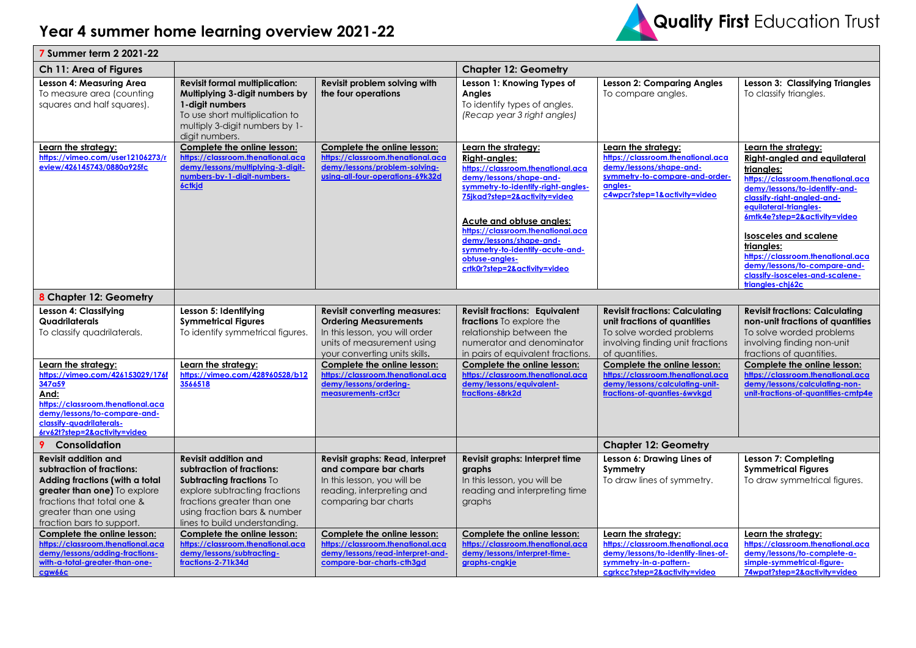## **Year 4 summer home learning overview 2021-22**



| <b>7 Summer term 2 2021-22</b>                                                                                                                                                                                                                                                       |                                                                                                                                                                                                                      |                                                                                                                                                                                                                                                                                           |                                                                                                                                                                                                                                                                                                                                                                    |                                                                                                                                                                                                                                                                                               |                                                                                                                                                                                                                                                                                                                                                                                                                  |  |  |
|--------------------------------------------------------------------------------------------------------------------------------------------------------------------------------------------------------------------------------------------------------------------------------------|----------------------------------------------------------------------------------------------------------------------------------------------------------------------------------------------------------------------|-------------------------------------------------------------------------------------------------------------------------------------------------------------------------------------------------------------------------------------------------------------------------------------------|--------------------------------------------------------------------------------------------------------------------------------------------------------------------------------------------------------------------------------------------------------------------------------------------------------------------------------------------------------------------|-----------------------------------------------------------------------------------------------------------------------------------------------------------------------------------------------------------------------------------------------------------------------------------------------|------------------------------------------------------------------------------------------------------------------------------------------------------------------------------------------------------------------------------------------------------------------------------------------------------------------------------------------------------------------------------------------------------------------|--|--|
| Ch 11: Area of Figures                                                                                                                                                                                                                                                               | <b>Chapter 12: Geometry</b>                                                                                                                                                                                          |                                                                                                                                                                                                                                                                                           |                                                                                                                                                                                                                                                                                                                                                                    |                                                                                                                                                                                                                                                                                               |                                                                                                                                                                                                                                                                                                                                                                                                                  |  |  |
| Lesson 4: Measuring Area<br>To measure area (counting<br>squares and half squares).                                                                                                                                                                                                  | <b>Revisit formal multiplication:</b><br>Multiplying 3-digit numbers by<br>1-digit numbers<br>To use short multiplication to<br>multiply 3-digit numbers by 1-<br>digit numbers.                                     | Revisit problem solving with<br>the four operations                                                                                                                                                                                                                                       | Lesson 1: Knowing Types of<br>Angles<br>To identify types of angles.<br>(Recap year 3 right angles)                                                                                                                                                                                                                                                                | <b>Lesson 2: Comparing Angles</b><br>To compare angles.                                                                                                                                                                                                                                       | <b>Lesson 3: Classifying Triangles</b><br>To classify triangles.                                                                                                                                                                                                                                                                                                                                                 |  |  |
| Learn the strategy:<br>https://vimeo.com/user12106273/r<br>eview/426145743/0880a925fc                                                                                                                                                                                                | Complete the online lesson:<br>https://classroom.thenational.aca<br>demy/lessons/multiplying-3-digit-<br>numbers-by-1-digit-numbers-<br>6ctkjd                                                                       | Complete the online lesson:<br>https://classroom.thenational.aca<br>demy/lessons/problem-solving-<br>using-all-four-operations-69k32d                                                                                                                                                     | Learn the strategy:<br><b>Right-angles:</b><br>https://classroom.thenational.aca<br>demy/lessons/shape-and-<br>symmetry-to-identify-right-angles-<br>75jkad?step=2&activity=video<br>Acute and obtuse angles:<br>https://classroom.thenational.aca<br>demy/lessons/shape-and-<br>symmetry-to-identify-acute-and-<br>obtuse-angles-<br>crtk0r?step=2&activity=video | Learn the strategy:<br>https://classroom.thenational.aca<br>demy/lessons/shape-and-<br>symmetry-to-compare-and-order-<br>angles-<br>c4wpcr?step=1&activity=video                                                                                                                              | Learn the strategy:<br><b>Right-angled and equilateral</b><br>triangles:<br>https://classroom.thenational.aca<br>demy/lessons/to-identify-and-<br>classify-right-angled-and-<br>equilateral-triangles-<br>6mtk4e?step=2&activity=video<br><b>Isosceles and scalene</b><br>trianales:<br>https://classroom.thenational.aca<br>demy/lessons/to-compare-and-<br>classify-isosceles-and-scalene-<br>triangles-chi62c |  |  |
| 8 Chapter 12: Geometry                                                                                                                                                                                                                                                               |                                                                                                                                                                                                                      |                                                                                                                                                                                                                                                                                           |                                                                                                                                                                                                                                                                                                                                                                    |                                                                                                                                                                                                                                                                                               |                                                                                                                                                                                                                                                                                                                                                                                                                  |  |  |
| Lesson 4: Classifying<br>Quadrilaterals<br>To classify quadrilaterals.<br>Learn the strategy:<br>https://vimeo.com/426153029/176f<br>347a59<br>And:<br>https://classroom.thenational.aca<br>demy/lessons/to-compare-and-<br>classify-quadrilaterals-<br>6rv62t?step=2&activity=video | Lesson 5: Identifying<br><b>Symmetrical Figures</b><br>To identify symmetrical figures.<br>Learn the strategy:<br>https://vimeo.com/428960528/b12<br>3566518                                                         | <b>Revisit converting measures:</b><br><b>Ordering Measurements</b><br>In this lesson, you will order<br>units of measurement using<br>your converting units skills.<br>Complete the online lesson:<br>https://classroom.thenational.aca<br>demy/lessons/ordering-<br>measurements-crt3cr | <b>Revisit fractions: Equivalent</b><br>fractions To explore the<br>relationship between the<br>numerator and denominator<br>in pairs of equivalent fractions.<br>Complete the online lesson:<br>https://classroom.thenational.aca<br>demy/lessons/equivalent-<br>fractions-68rk2d                                                                                 | <b>Revisit fractions: Calculating</b><br>unit fractions of quantities<br>To solve worded problems<br>involving finding unit fractions<br>of quantities.<br>Complete the online lesson:<br>https://classroom.thenational.aca<br>demy/lessons/calculating-unit-<br>fractions-of-quanties-6wvkgd | <b>Revisit fractions: Calculating</b><br>non-unit fractions of quantities<br>To solve worded problems<br>involving finding non-unit<br>fractions of quantities.<br>Complete the online lesson:<br>https://classroom.thenational.aca<br>demy/lessons/calculating-non-<br>unit-fractions-of-quantities-cmtp4e                                                                                                      |  |  |
| Consolidation                                                                                                                                                                                                                                                                        |                                                                                                                                                                                                                      |                                                                                                                                                                                                                                                                                           |                                                                                                                                                                                                                                                                                                                                                                    | <b>Chapter 12: Geometry</b>                                                                                                                                                                                                                                                                   |                                                                                                                                                                                                                                                                                                                                                                                                                  |  |  |
| <b>Revisit addition and</b><br>subtraction of fractions:<br>Adding fractions (with a total<br>greater than one) To explore<br>fractions that total one &<br>greater than one using<br>fraction bars to support.                                                                      | <b>Revisit addition and</b><br>subtraction of fractions:<br>Subtracting fractions To<br>explore subtracting fractions<br>fractions greater than one<br>using fraction bars & number<br>lines to build understanding. | Revisit graphs: Read, interpret<br>and compare bar charts<br>In this lesson, you will be<br>reading, interpreting and<br>comparing bar charts                                                                                                                                             | Revisit graphs: Interpret time<br>graphs<br>In this lesson, you will be<br>reading and interpreting time<br>graphs                                                                                                                                                                                                                                                 | Lesson 6: Drawing Lines of<br>Symmetry<br>To draw lines of symmetry.                                                                                                                                                                                                                          | Lesson 7: Completing<br><b>Symmetrical Figures</b><br>To draw symmetrical figures.                                                                                                                                                                                                                                                                                                                               |  |  |
| Complete the online lesson:<br>https://classroom.thenational.aca<br>demy/lessons/adding-fractions-<br>with-a-total-greater-than-one-<br>cgw66c                                                                                                                                       | Complete the online lesson:<br>https://classroom.thenational.aca<br>demy/lessons/subtracting-<br>fractions-2-71k34d                                                                                                  | Complete the online lesson:<br>https://classroom.thenational.aca<br>demy/lessons/read-interpret-and-<br>compare-bar-charts-cth3gd                                                                                                                                                         | Complete the online lesson:<br>https://classroom.thenational.aca<br>demy/lessons/interpret-time-<br>graphs-cngkje                                                                                                                                                                                                                                                  | Learn the strategy:<br>https://classroom.thenational.aca<br>demy/lessons/to-identify-lines-of-<br>symmetry-in-a-pattern-<br>cgrkcc?step=2&activity=video                                                                                                                                      | Learn the strategy:<br>https://classroom.thenational.aca<br>demy/lessons/to-complete-a-<br>simple-symmetrical-fiaure-<br>74wpat?step=2&activity=video                                                                                                                                                                                                                                                            |  |  |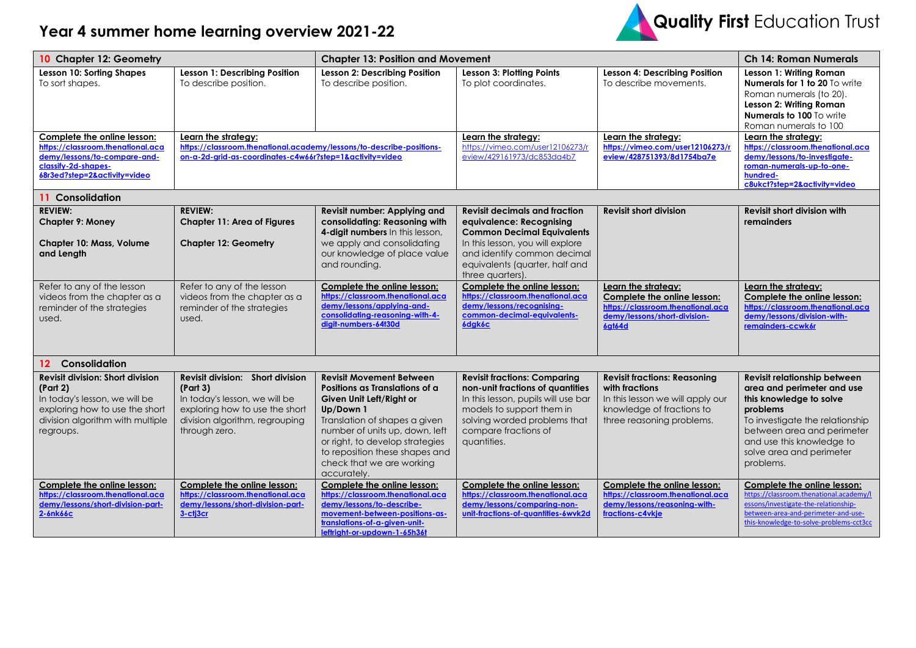



| 10 Chapter 12: Geometry                                                                                                                                                 |                                                                                                                                                                    | <b>Chapter 13: Position and Movement</b>                                                                                                                                                                                                                                                       |                                                                                                                                                                                                                                |                                                                                                                                                     | <b>Ch 14: Roman Numerals</b>                                                                                                                                                                                                             |  |
|-------------------------------------------------------------------------------------------------------------------------------------------------------------------------|--------------------------------------------------------------------------------------------------------------------------------------------------------------------|------------------------------------------------------------------------------------------------------------------------------------------------------------------------------------------------------------------------------------------------------------------------------------------------|--------------------------------------------------------------------------------------------------------------------------------------------------------------------------------------------------------------------------------|-----------------------------------------------------------------------------------------------------------------------------------------------------|------------------------------------------------------------------------------------------------------------------------------------------------------------------------------------------------------------------------------------------|--|
| Lesson 10: Sorting Shapes<br>To sort shapes.                                                                                                                            | Lesson 1: Describing Position<br>To describe position.                                                                                                             | <b>Lesson 2: Describing Position</b><br>To describe position.                                                                                                                                                                                                                                  | <b>Lesson 3: Plotting Points</b><br>To plot coordinates.                                                                                                                                                                       | Lesson 4: Describing Position<br>To describe movements.                                                                                             | Lesson 1: Writing Roman<br>Numerals for 1 to 20 To write<br>Roman numerals (to 20).<br>Lesson 2: Writing Roman<br>Numerals to 100 To write<br>Roman numerals to 100                                                                      |  |
| Complete the online lesson:<br>https://classroom.thenational.aca<br>demy/lessons/to-compare-and-<br>classify-2d-shapes-<br>68r3ed?step=2&activity=video                 | Learn the strategy:<br>https://classroom.thenational.academy/lessons/to-describe-positions-<br>on-a-2d-grid-as-coordinates-c4w66r?step=1&activity=video            |                                                                                                                                                                                                                                                                                                | Learn the strategy:<br>https://vimeo.com/user12106273/r<br>eview/429161973/dc853da4b7                                                                                                                                          | Learn the strategy:<br>https://vimeo.com/user12106273/r<br>eview/428751393/8d1754ba7e                                                               | Learn the strategy:<br>https://classroom.thenational.aca<br>demy/lessons/to-investigate-<br>roman-numerals-up-to-one-<br>hundred-<br>c8ukct?step=2&activity=video                                                                        |  |
| 11 Consolidation                                                                                                                                                        |                                                                                                                                                                    |                                                                                                                                                                                                                                                                                                |                                                                                                                                                                                                                                |                                                                                                                                                     |                                                                                                                                                                                                                                          |  |
| <b>REVIEW:</b><br><b>Chapter 9: Money</b><br>Chapter 10: Mass, Volume<br>and Length                                                                                     | <b>REVIEW:</b><br><b>Chapter 11: Area of Figures</b><br><b>Chapter 12: Geometry</b>                                                                                | <b>Revisit number: Applying and</b><br>consolidating: Reasoning with<br>4-digit numbers In this lesson,<br>we apply and consolidating<br>our knowledge of place value<br>and rounding.                                                                                                         | <b>Revisit decimals and fraction</b><br>equivalence: Recognising<br><b>Common Decimal Equivalents</b><br>In this lesson, you will explore<br>and identify common decimal<br>equivalents (quarter, half and<br>three quarters). | <b>Revisit short division</b>                                                                                                                       | Revisit short division with<br>remainders                                                                                                                                                                                                |  |
| Refer to any of the lesson<br>videos from the chapter as a<br>reminder of the strategies<br>used.                                                                       | Refer to any of the lesson<br>videos from the chapter as a<br>reminder of the strategies<br>used.                                                                  | Complete the online lesson:<br>https://classroom.thenational.aca<br>demy/lessons/applying-and-<br>consolidating-reasoning-with-4-<br>digit-numbers-64t30d                                                                                                                                      | Complete the online lesson:<br>https://classroom.thenational.aca<br>demy/lessons/recognising-<br>common-decimal-equivalents-<br>6dgk6c                                                                                         | Learn the strategy:<br>Complete the online lesson:<br>https://classroom.thenational.aca<br>demy/lessons/short-division-<br>6gt64d                   | Learn the strategy:<br>Complete the online lesson:<br>https://classroom.thenational.aca<br>demy/lessons/division-with-<br>remainders-ccwk6r                                                                                              |  |
| Consolidation<br>$12-12$                                                                                                                                                |                                                                                                                                                                    |                                                                                                                                                                                                                                                                                                |                                                                                                                                                                                                                                |                                                                                                                                                     |                                                                                                                                                                                                                                          |  |
| <b>Revisit division: Short division</b><br>(Part 2)<br>In today's lesson, we will be<br>exploring how to use the short<br>division algorithm with multiple<br>regroups. | Revisit division: Short division<br>(Part 3)<br>In today's lesson, we will be<br>exploring how to use the short<br>division algorithm, regrouping<br>through zero. | <b>Revisit Movement Between</b><br>Positions as Translations of a<br>Given Unit Left/Right or<br>Up/Down 1<br>Translation of shapes a given<br>number of units up, down, left<br>or right, to develop strategies<br>to reposition these shapes and<br>check that we are working<br>accurately. | <b>Revisit fractions: Comparing</b><br>non-unit fractions of quantities<br>In this lesson, pupils will use bar<br>models to support them in<br>solving worded problems that<br>compare fractions of<br>auantities.             | <b>Revisit fractions: Reasoning</b><br>with fractions<br>In this lesson we will apply our<br>knowledge of fractions to<br>three reasoning problems. | Revisit relationship between<br>area and perimeter and use<br>this knowledge to solve<br>problems<br>To investigate the relationship<br>between area and perimeter<br>and use this knowledge to<br>solve area and perimeter<br>problems. |  |
| Complete the online lesson:<br>https://classroom.thenational.aca<br>demy/lessons/short-division-part-<br>$2 - 6nk66c$                                                   | Complete the online lesson:<br>https://classroom.thenational.aca<br>demy/lessons/short-division-part-<br>3-cti3cr                                                  | Complete the online lesson:<br>https://classroom.thenational.aca<br>demy/lessons/to-describe-<br>movement-between-positions-as-<br>translations-of-a-given-unit-<br>leftright-or-updown-1-65h36t                                                                                               | Complete the online lesson:<br>https://classroom.thenational.aca<br>demy/lessons/comparing-non-<br>unit-fractions-of-quantities-6wvk2d                                                                                         | Complete the online lesson:<br>https://classroom.thenational.aca<br>demy/lessons/reasoning-with-<br>fractions-c4vkje                                | Complete the online lesson:<br>https://classroom.thenational.academy/l<br>essons/investigate-the-relationship-<br>between-area-and-perimeter-and-use-<br>this-knowledge-to-solve-problems-cct3cc                                         |  |